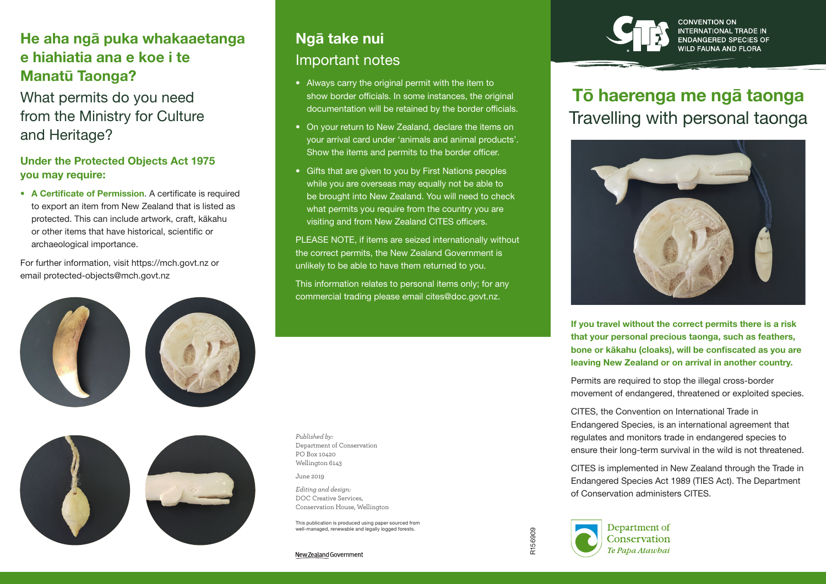### He aha ngā puka whakaaetanga e hiahiatia ana e koe i te Manatū Taonga?

What permits do you need from the Ministry for Culture and Heritage?

### Under the Protected Objects Act 1975 you may require:

• A Certificate of Permission. A certificate is required to export an item from New Zealand that is listed as protected. This can include artwork, craft, kākahu or other items that have historical, scientific or archaeological importance.

For further information, visit https://mch.govt.nz or email protected-objects@mch.govt.nz





# Ngā take nui Important notes

- Always carry the original permit with the item to show border officials. In some instances, the original documentation will be retained by the border officials.
- On your return to New Zealand, declare the items on your arrival card under 'animals and animal products'. Show the items and permits to the border officer.
- Gifts that are given to you by First Nations peoples while you are overseas may equally not be able to be brought into New Zealand. You will need to check what permits you require from the country you are visiting and from New Zealand CITES officers.

PLEASE NOTE, if items are seized internationally without the correct permits, the New Zealand Government is unlikely to be able to have them returned to you.

This information relates to personal items only; for any commercial trading please email cites@doc.govt.nz.

*Published by:* Department of Conservation PO Box 10420 Wellington 6143

June 2019

*Editing and design:*  DOC Creative Services, Conservation House, Wellington

This publication is produced using paper sourced from well-managed, renewable and legally logged forests.

New Zealand Government



**NGERED SPECIES OF** 

# Tō haerenga me ngā taonga Travelling with personal taonga



If you travel without the correct permits there is a risk that your personal precious taonga, such as feathers, bone or kākahu (cloaks), will be confiscated as you are leaving New Zealand or on arrival in another country.

Permits are required to stop the illegal cross-border movement of endangered, threatened or exploited species.

CITES, the Convention on International Trade in Endangered Species, is an international agreement that regulates and monitors trade in endangered species to ensure their long-term survival in the wild is not threatened.

CITES is implemented in New Zealand through the Trade in Endangered Species Act 1989 (TIES Act). The Department of Conservation administers CITES.

R156909